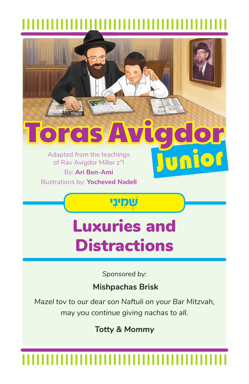

# **Luxuries and Distractions**

Sponsored by:

**Mishpachas Brisk** 

Mazel tov to our dear son Naftuli on your Bar Mitzvah, may you continue giving nachas to all.

**Totty & Mommy**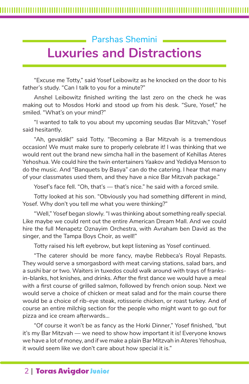## Parshas Shemini **Luxuries and Distractions**

"Excuse me Totty," said Yosef Leibowitz as he knocked on the door to his father's study. "Can I talk to you for a minute?"

Anshel Leibowitz finished writing the last zero on the check he was making out to Mosdos Horki and stood up from his desk. "Sure, Yosef," he smiled. "What's on your mind?"

"I wanted to talk to you about my upcoming seudas Bar Mitzvah," Yosef said hesitantly.

"Ah, gevaldik!" said Totty. "Becoming a Bar Mitzvah is a tremendous occasion! We must make sure to properly celebrate it! I was thinking that we would rent out the brand new simcha hall in the basement of Kehillas Ateres Yehoshua. We could hire the twin entertainers Yaakov and Yedidya Menson to do the music. And "Banquets by Basya" can do the catering. I hear that many of your classmates used them, and they have a nice Bar Mitzvah package."

Yosef's face fell. "Oh, that's — that's nice." he said with a forced smile.

Totty looked at his son. "Obviously you had something different in mind, Yosef. Why don't you tell me what you were thinking?"

"Well," Yosef began slowly. "I was thinking about something *really* special. Like maybe we could rent out the entire American Dream Mall. And we could hire the full Menapetz Oznayim Orchestra, with Avraham ben David as the singer, and the Tampa Boys Choir, as well!"

Totty raised his left eyebrow, but kept listening as Yosef continued.

"The caterer should be more fancy, maybe Rebbeca's Royal Repasts. They would serve a smorgasbord with meat carving stations, salad bars, and a sushi bar or two. Waiters in tuxedos could walk around with trays of franksin-blanks, hot knishes, and drinks. After the first dance we would have a meal with a first course of grilled salmon, followed by french onion soup. Next we would serve a choice of chicken or meat salad and for the main course there would be a choice of rib-eye steak, rotisserie chicken, or roast turkey. And of course an entire milchig section for the people who might want to go out for pizza and ice cream afterwards…

"Of course it won't be as fancy as the Horki Dinner," Yosef finished, "but it's my Bar Mitzvah — we need to show how important it is! Everyone knows we have a lot of money, and if we make a plain Bar Mitzvah in Ateres Yehoshua, it would seem like we don't care about how special it is."

## 2 | Toras Avigdor Junior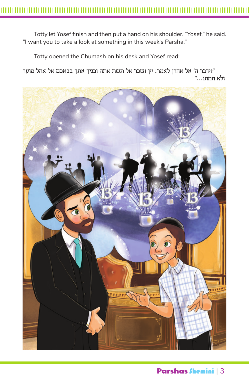Totty let Yosef finish and then put a hand on his shoulder. "Yosef," he said. "I want you to take a look at something in this week's Parsha."

Totty opened the Chumash on his desk and Yosef read:

וידבר ה' אל אהרן לאמר: יין ושכר אל תשת אתה ובניך אתך בבאכם אל אהל מועד"  $"$ ולא תמתו